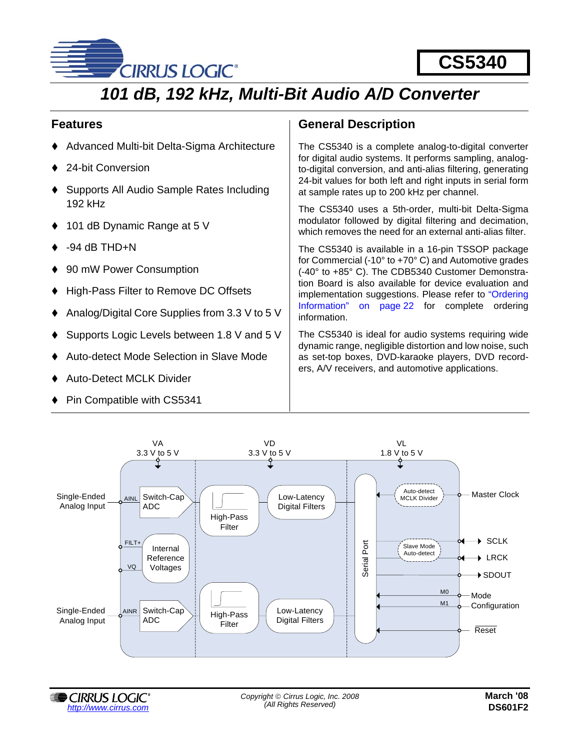

# *101 dB, 192 kHz, Multi-Bit Audio A/D Converter*

### **Features**

- Advanced Multi-bit Delta-Sigma Architecture
- 24-bit Conversion
- Supports All Audio Sample Rates Including 192 kHz
- 101 dB Dynamic Range at 5 V
- -94 dB THD+N
- 90 mW Power Consumption
- High-Pass Filter to Remove DC Offsets
- Analog/Digital Core Supplies from 3.3 V to 5 V
- Supports Logic Levels between 1.8 V and 5 V
- Auto-detect Mode Selection in Slave Mode
- Auto-Detect MCLK Divider
- Pin Compatible with CS5341

### **General Description**

The CS5340 is a complete analog-to-digital converter for digital audio systems. It performs sampling, analogto-digital conversion, and anti-alias filtering, generating 24-bit values for both left and right inputs in serial form at sample rates up to 200 kHz per channel.

The CS5340 uses a 5th-order, multi-bit Delta-Sigma modulator followed by digital filtering and decimation, which removes the need for an external anti-alias filter.

The CS5340 is available in a 16-pin TSSOP package for Commercial (-10° to +70° C) and Automotive grades (-40° to +85° C). The CDB5340 Customer Demonstration Board is also available for device evaluation and implementation suggestions. Please refer to ["Ordering](#page-21-0) [Information" on page 22](#page-21-0) for complete ordering information.

The CS5340 is ideal for audio systems requiring wide dynamic range, negligible distortion and low noise, such as set-top boxes, DVD-karaoke players, DVD recorders, A/V receivers, and automotive applications.



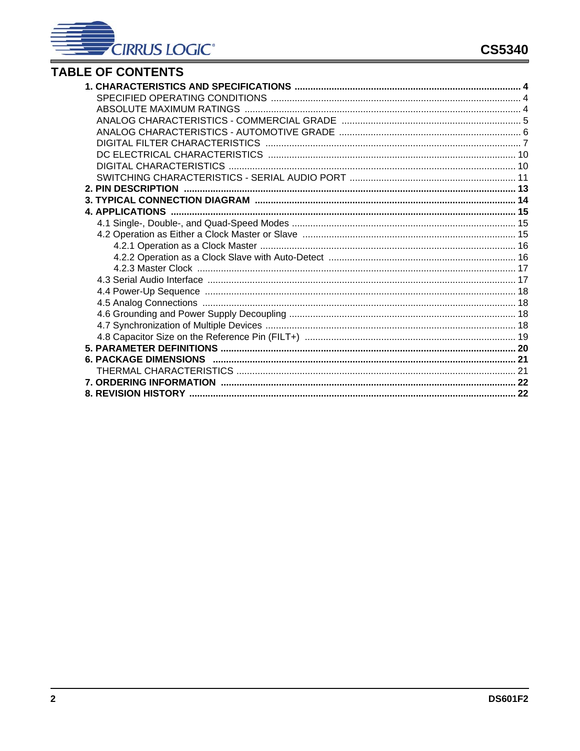

## **TABLE OF CONTENTS**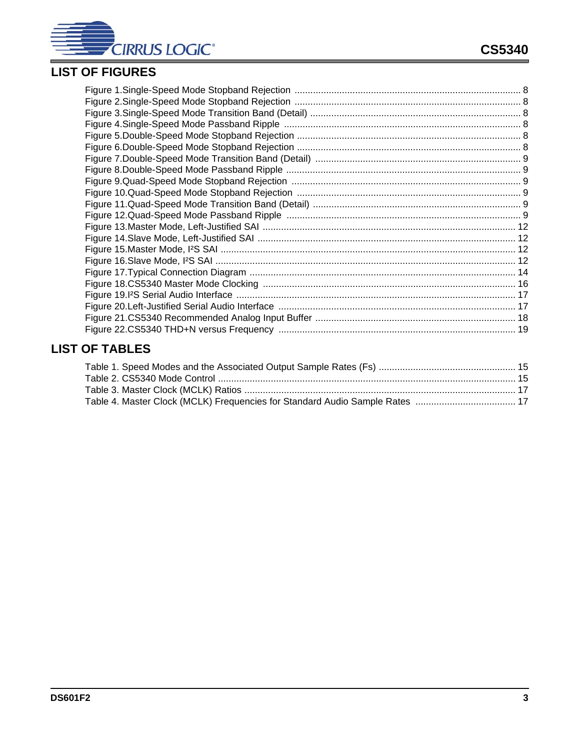

## **LIST OF FIGURES**

## **LIST OF TABLES**

| Table 4. Master Clock (MCLK) Frequencies for Standard Audio Sample Rates  17 |  |
|------------------------------------------------------------------------------|--|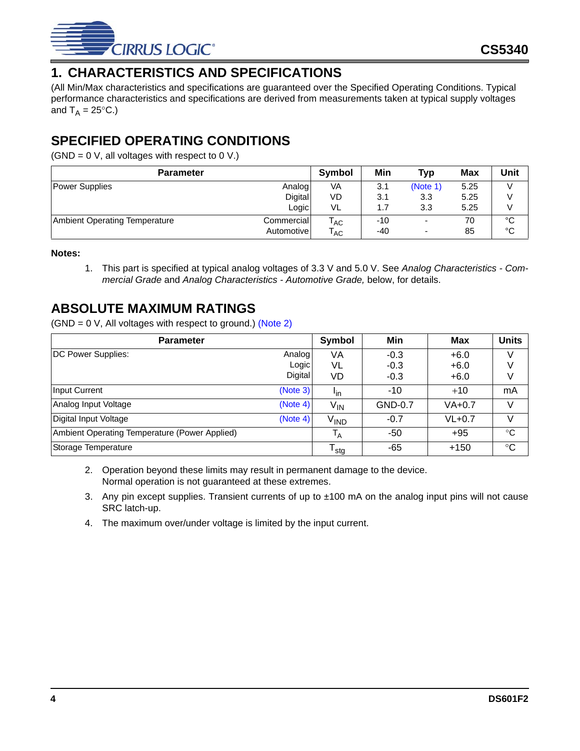

## <span id="page-3-0"></span>**1. CHARACTERISTICS AND SPECIFICATIONS**

(All Min/Max characteristics and specifications are guaranteed over the [Specified Operating Conditions.](#page-3-1) Typical performance characteristics and specifications are derived from measurements taken at typical supply voltages and  $T_A = 25^{\circ}C$ .)

### <span id="page-3-1"></span>**SPECIFIED OPERATING CONDITIONS**

(GND =  $0 \text{ V}$ , all voltages with respect to  $0 \text{ V}$ .)

| <b>Parameter</b>                     |            | <b>Symbol</b>              | Min | <b>Typ</b>               | Max  | Unit |
|--------------------------------------|------------|----------------------------|-----|--------------------------|------|------|
| <b>Power Supplies</b>                | Analog     | VA                         | 3.1 | (Note 1)                 | 5.25 |      |
|                                      | Digital    | <b>VD</b>                  | 3.1 | 3.3                      | 5.25 |      |
|                                      | Logic      | VL                         | 1.7 | 3.3                      | 5.25 |      |
| <b>Ambient Operating Temperature</b> | Commercial | $\mathsf{T}_{\mathsf{AC}}$ | -10 |                          | 70   | °C   |
|                                      | Automotive | $\mathsf{T}_{\mathsf{AC}}$ | -40 | $\overline{\phantom{0}}$ | 85   | °C   |

#### <span id="page-3-4"></span>**Notes:**

1. This part is specified at typical analog voltages of 3.3 V and 5.0 V. See *[Analog Characteristics - Com](#page-4-0)[mercial Grade](#page-4-0)* and *[Analog Characteristics - Automotive Grade](#page-5-0),* below, for details.

### <span id="page-3-2"></span>**ABSOLUTE MAXIMUM RATINGS**

 $(SND = 0 V, All voltages with respect to ground.) (Note 2)$  $(SND = 0 V, All voltages with respect to ground.) (Note 2)$ 

| <b>Parameter</b>                              | Symbol         | Min                     | <b>Max</b> | <b>Units</b> |              |
|-----------------------------------------------|----------------|-------------------------|------------|--------------|--------------|
| DC Power Supplies:                            | Analog         | VA                      | $-0.3$     | $+6.0$       |              |
|                                               | Logic          | VL                      | $-0.3$     | $+6.0$       |              |
|                                               | <b>Digital</b> | VD                      | $-0.3$     | $+6.0$       |              |
| Input Current                                 | (Note 3)       | <b>I</b> <sub>in</sub>  | $-10$      | $+10$        | mA           |
| Analog Input Voltage                          | (Note 4)       | V <sub>IN</sub>         | GND-0.7    | VA+0.7       |              |
| Digital Input Voltage                         | (Note 4)       | V <sub>IND</sub>        | $-0.7$     | $VL+0.7$     |              |
| Ambient Operating Temperature (Power Applied) |                | $\mathsf{T}_\mathsf{A}$ | -50        | $+95$        | $^{\circ}$ C |
| Storage Temperature                           |                | $T_{\text{stg}}$        | -65        | $+150$       | $^{\circ}C$  |

- <span id="page-3-5"></span>2. Operation beyond these limits may result in permanent damage to the device. Normal operation is not guaranteed at these extremes.
- <span id="page-3-6"></span>3. Any pin except supplies. Transient currents of up to ±100 mA on the analog input pins will not cause SRC latch-up.
- <span id="page-3-3"></span>4. The maximum over/under voltage is limited by the input current.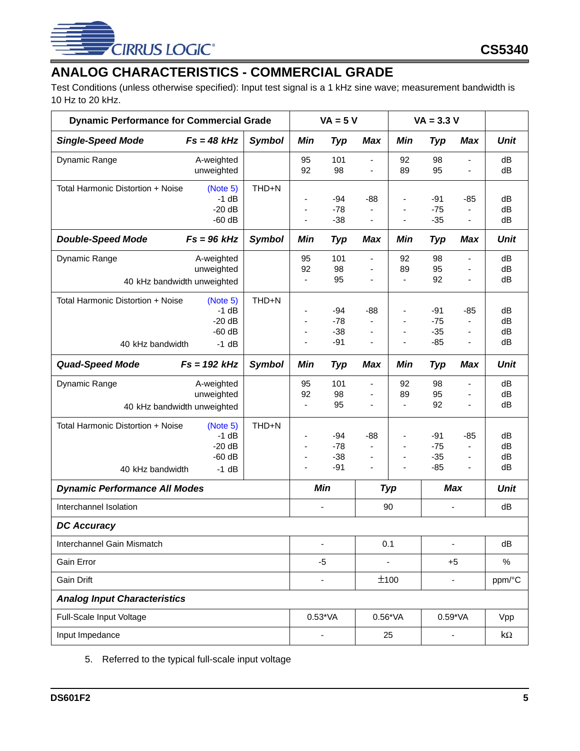

## <span id="page-4-0"></span>**ANALOG CHARACTERISTICS - COMMERCIAL GRADE**

Test Conditions (unless otherwise specified): Input test signal is a 1 kHz sine wave; measurement bandwidth is 10 Hz to 20 kHz.

| <b>Dynamic Performance for Commercial Grade</b>       |                                                         |               | $VA = 5 V$                           |                                  |                                                                                               | $VA = 3.3 V$                                                               |                                |                                        |                      |
|-------------------------------------------------------|---------------------------------------------------------|---------------|--------------------------------------|----------------------------------|-----------------------------------------------------------------------------------------------|----------------------------------------------------------------------------|--------------------------------|----------------------------------------|----------------------|
| <b>Single-Speed Mode</b>                              | $Fs = 48 kHz$                                           | <b>Symbol</b> | Min                                  | <b>Typ</b>                       | <b>Max</b>                                                                                    | Min                                                                        | <b>Typ</b>                     | <b>Max</b>                             | <b>Unit</b>          |
| Dynamic Range                                         | A-weighted<br>unweighted                                |               | 95<br>92                             | 101<br>98                        | $\overline{\phantom{a}}$<br>$\overline{\phantom{a}}$                                          | 92<br>89                                                                   | 98<br>95                       | ÷,<br>÷,                               | dB<br>dB             |
| Total Harmonic Distortion + Noise                     | (Note 5)<br>$-1$ dB<br>$-20dB$<br>$-60$ dB              | THD+N         | ÷,<br>٠<br>ä,                        | $-94$<br>$-78$<br>$-38$          | $-88$<br>$\qquad \qquad \blacksquare$                                                         | $\overline{\phantom{a}}$<br>$\qquad \qquad \blacksquare$<br>$\blacksquare$ | -91<br>$-75$<br>$-35$          | -85<br>٠<br>÷,                         | dB<br>dB<br>dB       |
| <b>Double-Speed Mode</b>                              | $Fs = 96 kHz$                                           | <b>Symbol</b> | Min                                  | <b>Typ</b>                       | <b>Max</b>                                                                                    | Min                                                                        | <b>Typ</b>                     | Max                                    | <b>Unit</b>          |
| Dynamic Range                                         | A-weighted<br>unweighted<br>40 kHz bandwidth unweighted |               | 95<br>92<br>$\overline{\phantom{a}}$ | 101<br>98<br>95                  | $\overline{\phantom{a}}$<br>$\qquad \qquad \blacksquare$                                      | 92<br>89<br>$\blacksquare$                                                 | 98<br>95<br>92                 | $\blacksquare$<br>÷,                   | dB<br>dB<br>dB       |
| Total Harmonic Distortion + Noise<br>40 kHz bandwidth | (Note 5)<br>$-1$ dB<br>$-20 dB$<br>$-60$ dB<br>$-1$ dB  | THD+N         | ٠<br>÷,                              | $-94$<br>$-78$<br>$-38$<br>$-91$ | $-88$<br>۰<br>$\overline{\phantom{m}}$<br>$\overline{\phantom{a}}$                            | $\blacksquare$<br>÷,<br>$\blacksquare$<br>÷,                               | -91<br>$-75$<br>$-35$<br>$-85$ | -85<br>÷,<br>ä,                        | dB<br>dB<br>dB<br>dB |
| <b>Quad-Speed Mode</b>                                | $Fs = 192 kHz$                                          | <b>Symbol</b> | Min                                  | <b>Typ</b>                       | Max                                                                                           | Min                                                                        | <b>Typ</b>                     | Max                                    | <b>Unit</b>          |
| Dynamic Range                                         | A-weighted<br>unweighted<br>40 kHz bandwidth unweighted |               | 95<br>92<br>$\overline{\phantom{a}}$ | 101<br>98<br>95                  | $\blacksquare$<br>ä,<br>$\qquad \qquad \blacksquare$                                          | 92<br>89<br>$\blacksquare$                                                 | 98<br>95<br>92                 | $\blacksquare$<br>$\blacksquare$<br>÷, | dB<br>dB<br>dB       |
| Total Harmonic Distortion + Noise<br>40 kHz bandwidth | (Note 5)<br>$-1$ dB<br>$-20 dB$<br>$-60$ dB<br>$-1$ dB  | THD+N         | ٠<br>٠                               | $-94$<br>$-78$<br>$-38$<br>$-91$ | $-88$<br>$\overline{\phantom{a}}$<br>$\qquad \qquad \blacksquare$<br>$\overline{\phantom{a}}$ | $\blacksquare$<br>÷,<br>$\blacksquare$<br>$\blacksquare$                   | -91<br>$-75$<br>$-35$<br>$-85$ | -85<br>÷,<br>ä,                        | dB<br>dB<br>dB<br>dB |
| <b>Dynamic Performance All Modes</b>                  |                                                         |               |                                      | Min                              |                                                                                               | <b>Typ</b>                                                                 |                                | <b>Max</b>                             | Unit                 |
| Interchannel Isolation                                |                                                         |               |                                      | $\overline{\phantom{0}}$         |                                                                                               | 90                                                                         | ÷                              |                                        | dB                   |
| <b>DC Accuracy</b>                                    |                                                         |               |                                      |                                  |                                                                                               |                                                                            |                                |                                        |                      |
| Interchannel Gain Mismatch                            |                                                         |               |                                      |                                  |                                                                                               | 0.1                                                                        | ۰                              |                                        | dB                   |
| Gain Error                                            |                                                         |               |                                      | $-5$                             |                                                                                               | $\overline{\phantom{0}}$                                                   |                                | $+5$                                   | $\%$                 |
| Gain Drift                                            |                                                         |               |                                      | $\qquad \qquad \blacksquare$     |                                                                                               | ±100                                                                       |                                | ÷,                                     | ppm/°C               |
| <b>Analog Input Characteristics</b>                   |                                                         |               |                                      |                                  |                                                                                               |                                                                            |                                |                                        |                      |
| Full-Scale Input Voltage                              |                                                         |               |                                      | $0.53*VA$                        |                                                                                               | $0.56*VA$                                                                  |                                | $0.59*VA$                              | Vpp                  |
| Input Impedance                                       |                                                         |               | -                                    |                                  |                                                                                               | 25                                                                         |                                |                                        | $k\Omega$            |

<span id="page-4-1"></span>5. Referred to the typical full-scale input voltage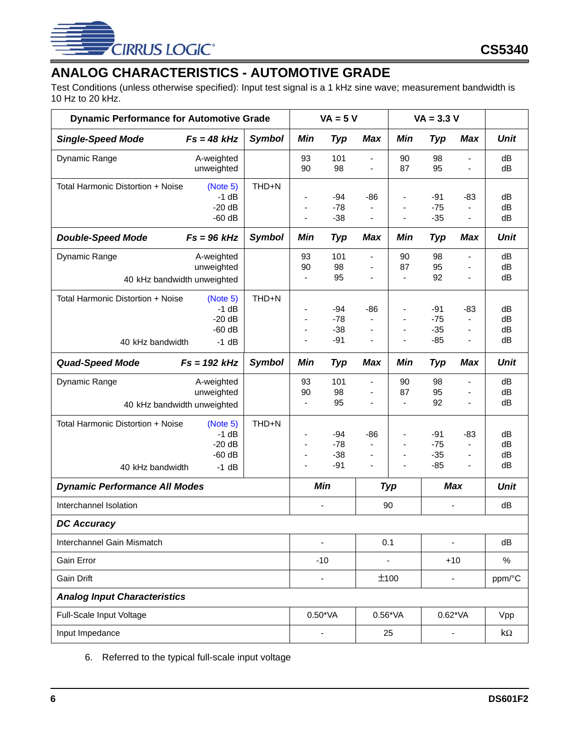

## <span id="page-5-0"></span>**ANALOG CHARACTERISTICS - AUTOMOTIVE GRADE**

Test Conditions (unless otherwise specified): Input test signal is a 1 kHz sine wave; measurement bandwidth is 10 Hz to 20 kHz.

| <b>Dynamic Performance for Automotive Grade</b>       |                                                         |               | $VA = 5 V$                           |                                  |                                                                                           | $VA = 3.3 V$                                                                             |                                  |                               |                      |
|-------------------------------------------------------|---------------------------------------------------------|---------------|--------------------------------------|----------------------------------|-------------------------------------------------------------------------------------------|------------------------------------------------------------------------------------------|----------------------------------|-------------------------------|----------------------|
| <b>Single-Speed Mode</b>                              | $Fs = 48 kHz$                                           | <b>Symbol</b> | Min                                  | <b>Typ</b>                       | <b>Max</b>                                                                                | Min                                                                                      | Typ                              | <b>Max</b>                    | <b>Unit</b>          |
| Dynamic Range                                         | A-weighted<br>unweighted                                |               | 93<br>90                             | 101<br>98                        | ä,<br>$\overline{\phantom{a}}$                                                            | 90<br>87                                                                                 | 98<br>95                         | ä,<br>÷,                      | dB<br>dB             |
| Total Harmonic Distortion + Noise                     | (Note 5)<br>$-1$ dB<br>$-20dB$<br>$-60$ dB              | THD+N         | $\overline{\phantom{0}}$<br>٠<br>ä,  | $-94$<br>$-78$<br>$-38$          | -86<br>$\qquad \qquad \blacksquare$                                                       | $\overline{\phantom{a}}$<br>$\qquad \qquad \blacksquare$<br>$\qquad \qquad \blacksquare$ | $-91$<br>$-75$<br>$-35$          | -83<br>٠                      | dB<br>dB<br>dB       |
| <b>Double-Speed Mode</b>                              | $Fs = 96 kHz$                                           | <b>Symbol</b> | Min                                  | Typ                              | Max                                                                                       | Min                                                                                      | <b>Typ</b>                       | Max                           | <b>Unit</b>          |
| Dynamic Range                                         | A-weighted<br>unweighted<br>40 kHz bandwidth unweighted |               | 93<br>90<br>$\overline{\phantom{a}}$ | 101<br>98<br>95                  | $\overline{\phantom{a}}$<br>$\overline{\phantom{m}}$                                      | 90<br>87<br>$\blacksquare$                                                               | 98<br>95<br>92                   | $\blacksquare$<br>÷,          | dB<br>dB<br>dB       |
| Total Harmonic Distortion + Noise<br>40 kHz bandwidth | (Note 5)<br>$-1$ dB<br>$-20dB$<br>$-60$ dB<br>$-1$ dB   | THD+N         | ٠<br>$\overline{a}$                  | $-94$<br>$-78$<br>$-38$<br>$-91$ | $-86$<br>$\overline{\phantom{m}}$<br>$\overline{\phantom{m}}$                             | $\blacksquare$<br>$\blacksquare$<br>$\blacksquare$<br>÷,                                 | $-91$<br>$-75$<br>$-35$<br>$-85$ | $-83$<br>÷,<br>$\blacksquare$ | dB<br>dB<br>dB<br>dB |
| <b>Quad-Speed Mode</b>                                | $Fs = 192 kHz$                                          | <b>Symbol</b> | Min                                  | <b>Typ</b>                       | Max                                                                                       | Min                                                                                      | <b>Typ</b>                       | Max                           | <b>Unit</b>          |
| Dynamic Range                                         | A-weighted<br>unweighted<br>40 kHz bandwidth unweighted |               | 93<br>90<br>$\overline{\phantom{a}}$ | 101<br>98<br>95                  | $\overline{\phantom{0}}$<br>$\overline{\phantom{a}}$                                      | 90<br>87<br>$\blacksquare$                                                               | 98<br>95<br>92                   | $\blacksquare$<br>÷,          | dB<br>dB<br>dB       |
| Total Harmonic Distortion + Noise<br>40 kHz bandwidth | (Note 5)<br>$-1$ dB<br>$-20dB$<br>$-60$ dB<br>$-1$ dB   | THD+N         | ٠<br>٠                               | $-94$<br>$-78$<br>$-38$<br>$-91$ | $-86$<br>$\overline{\phantom{a}}$<br>$\overline{\phantom{a}}$<br>$\overline{\phantom{a}}$ | $\blacksquare$<br>٠<br>÷,<br>$\overline{\phantom{a}}$                                    | $-91$<br>$-75$<br>$-35$<br>$-85$ | $-83$<br>÷,<br>$\blacksquare$ | dB<br>dB<br>dB<br>dB |
| <b>Dynamic Performance All Modes</b>                  |                                                         |               |                                      | <b>Min</b>                       |                                                                                           | <b>Typ</b>                                                                               |                                  | <b>Max</b>                    | <b>Unit</b>          |
| Interchannel Isolation                                |                                                         |               |                                      | $\overline{\phantom{0}}$         |                                                                                           | 90                                                                                       |                                  | $\blacksquare$                | dB                   |
| <b>DC Accuracy</b>                                    |                                                         |               |                                      |                                  |                                                                                           |                                                                                          |                                  |                               |                      |
| Interchannel Gain Mismatch                            |                                                         |               |                                      |                                  |                                                                                           | 0.1                                                                                      | ÷                                |                               | dB                   |
| Gain Error                                            |                                                         |               |                                      | $-10$                            |                                                                                           | $\qquad \qquad \blacksquare$                                                             |                                  | $+10$                         | $\%$                 |
| Gain Drift                                            |                                                         |               |                                      | $\overline{\phantom{0}}$         |                                                                                           | ±100                                                                                     |                                  | ÷,                            | ppm/°C               |
| <b>Analog Input Characteristics</b>                   |                                                         |               |                                      |                                  |                                                                                           |                                                                                          |                                  |                               |                      |
| Full-Scale Input Voltage                              |                                                         |               |                                      | $0.50*VA$                        |                                                                                           | $0.56*VA$                                                                                |                                  | $0.62*VA$                     | Vpp                  |
| Input Impedance                                       |                                                         |               | $\overline{\phantom{0}}$             |                                  |                                                                                           | 25                                                                                       |                                  |                               | $k\Omega$            |

6. Referred to the typical full-scale input voltage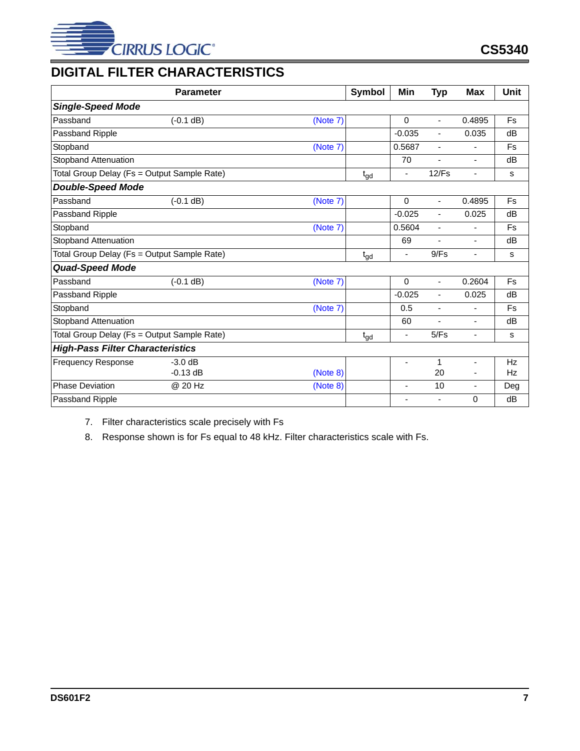

## <span id="page-6-0"></span>**DIGITAL FILTER CHARACTERISTICS**

|                                             | <b>Parameter</b> |          | <b>Symbol</b>   | Min                      | <b>Typ</b>               | Max                      | Unit |
|---------------------------------------------|------------------|----------|-----------------|--------------------------|--------------------------|--------------------------|------|
| <b>Single-Speed Mode</b>                    |                  |          |                 |                          |                          |                          |      |
| Passband                                    | $(-0.1 dB)$      | (Note 7) |                 | 0                        | $\blacksquare$           | 0.4895                   | Fs   |
| Passband Ripple                             |                  |          |                 | $-0.035$                 | $\blacksquare$           | 0.035                    | dB   |
| Stopband                                    |                  | (Note 7) |                 | 0.5687                   | $\overline{\phantom{a}}$ | ٠                        | Fs   |
| <b>Stopband Attenuation</b>                 |                  |          |                 | 70                       | Ξ.                       | $\blacksquare$           | dB   |
| Total Group Delay (Fs = Output Sample Rate) |                  |          | $t_{gd}$        | $\overline{\phantom{a}}$ | 12/Fs                    | $\overline{\phantom{a}}$ | s    |
| <b>Double-Speed Mode</b>                    |                  |          |                 |                          |                          |                          |      |
| Passband                                    | $(-0.1 dB)$      | (Note 7) |                 | 0                        | $\blacksquare$           | 0.4895                   | Fs   |
| Passband Ripple                             |                  |          |                 | $-0.025$                 | $\overline{\phantom{a}}$ | 0.025                    | dB   |
| Stopband                                    |                  | (Note 7) |                 | 0.5604                   | $\overline{\phantom{a}}$ | ä,                       | Fs   |
| <b>Stopband Attenuation</b>                 |                  |          |                 | 69                       | ۰.                       | ۰                        | dB   |
| Total Group Delay (Fs = Output Sample Rate) |                  |          | $t_{gd}$        | $\overline{\phantom{a}}$ | 9/Fs                     | ٠                        | s    |
| <b>Quad-Speed Mode</b>                      |                  |          |                 |                          |                          |                          |      |
| Passband                                    | $(-0.1 dB)$      | (Note 7) |                 | $\Omega$                 | $\blacksquare$           | 0.2604                   | Fs   |
| Passband Ripple                             |                  |          |                 | $-0.025$                 | $\blacksquare$           | 0.025                    | dB   |
| Stopband                                    |                  | (Note 7) |                 | 0.5                      | $\blacksquare$           | $\blacksquare$           | Fs   |
| <b>Stopband Attenuation</b>                 |                  |          |                 | 60                       | ٠                        | $\blacksquare$           | dB   |
| Total Group Delay (Fs = Output Sample Rate) |                  |          | $t_{\text{gd}}$ | ÷,                       | 5/Fs                     | $\overline{\phantom{a}}$ | s    |
| <b>High-Pass Filter Characteristics</b>     |                  |          |                 |                          |                          |                          |      |
| <b>Frequency Response</b>                   | $-3.0$ dB        |          |                 | ÷,                       | 1                        | $\blacksquare$           | Hz   |
|                                             | $-0.13$ dB       | (Note 8) |                 |                          | 20                       |                          | Hz   |
| <b>Phase Deviation</b>                      | @ 20 Hz          | (Note 8) |                 | ٠                        | 10                       |                          | Deg  |
| Passband Ripple                             |                  |          |                 | $\blacksquare$           | ٠                        | 0                        | dB   |

<span id="page-6-2"></span>7. Filter characteristics scale precisely with Fs

<span id="page-6-1"></span>8. Response shown is for Fs equal to 48 kHz. Filter characteristics scale with Fs.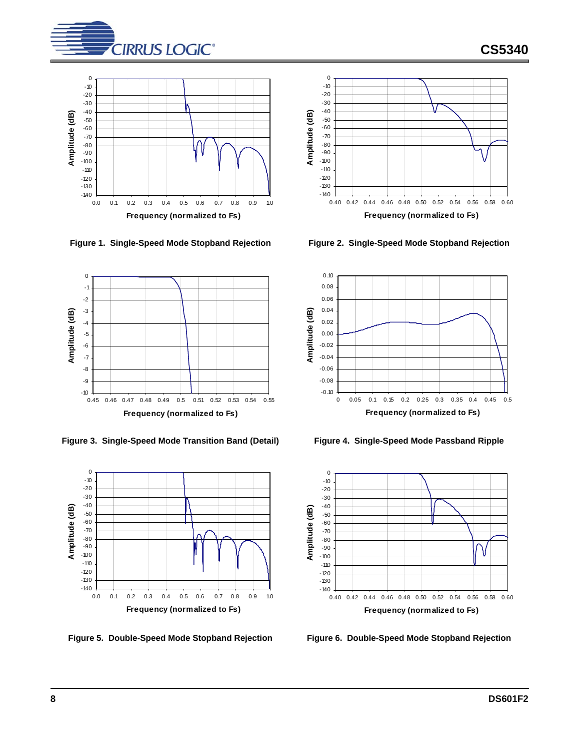

**CS5340**



<span id="page-7-0"></span>**Figure 1. Single-Speed Mode Stopband Rejection Figure 2. Single-Speed Mode Stopband Rejection**



<span id="page-7-2"></span>**Figure 3. Single-Speed Mode Transition Band (Detail) Figure 4. Single-Speed Mode Passband Ripple**





<span id="page-7-1"></span>



<span id="page-7-3"></span>

<span id="page-7-5"></span>

<span id="page-7-4"></span>**Figure 5. Double-Speed Mode Stopband Rejection Figure 6. Double-Speed Mode Stopband Rejection**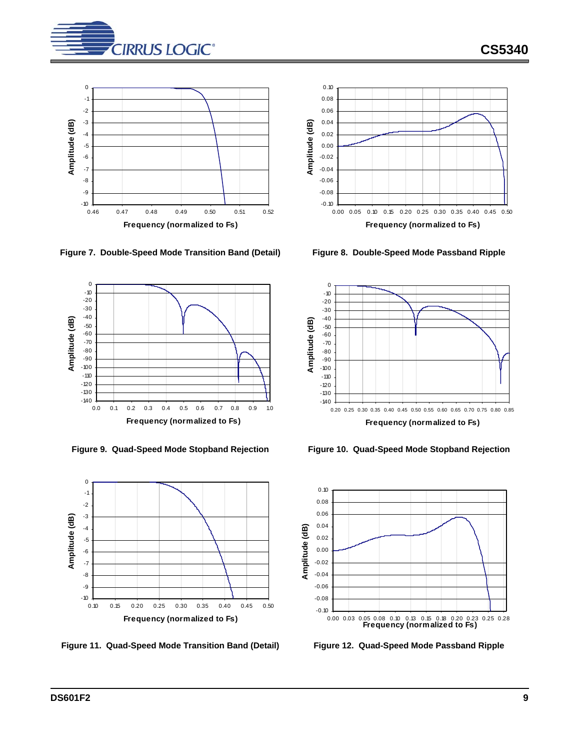

**CS5340**



<span id="page-8-0"></span>**Figure 7. Double-Speed Mode Transition Band (Detail) Figure 8. Double-Speed Mode Passband Ripple**





<span id="page-8-4"></span>**Figure 11. Quad-Speed Mode Transition Band (Detail) Figure 12. Quad-Speed Mode Passband Ripple**



<span id="page-8-1"></span>



<span id="page-8-2"></span>**Figure 9. Quad-Speed Mode Stopband Rejection Figure 10. Quad-Speed Mode Stopband Rejection**

<span id="page-8-3"></span>

<span id="page-8-5"></span>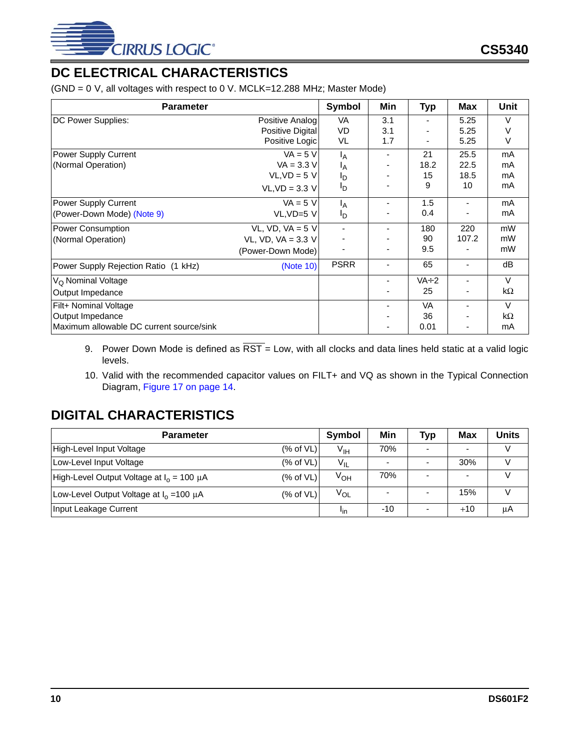

## <span id="page-9-0"></span>**DC ELECTRICAL CHARACTERISTICS**

(GND = 0 V, all voltages with respect to 0 V. MCLK=12.288 MHz; Master Mode)

| <b>Parameter</b>                         |                      | Symbol         | Min            | <b>Typ</b>  | Max            | Unit      |
|------------------------------------------|----------------------|----------------|----------------|-------------|----------------|-----------|
| DC Power Supplies:                       | Positive Analog      | VA             | 3.1            |             | 5.25           | $\vee$    |
|                                          | Positive Digital     | VD             | 3.1            |             | 5.25           | v         |
|                                          | Positive Logic       | VL             | 1.7            |             | 5.25           | V         |
| Power Supply Current                     | $VA = 5 V$           | Iд             |                | 21          | 25.5           | mA        |
| (Normal Operation)                       | $VA = 3.3 V$         | ΙA             |                | 18.2        | 22.5           | mA        |
|                                          | $VL,VD = 5 V$        | םי             |                | 15          | 18.5           | mA        |
|                                          | $VL,VD = 3.3 V$      | םי             |                | 9           | 10             | mA        |
| Power Supply Current                     | $VA = 5 V$           | <sup>I</sup> A |                | 1.5         |                | mA        |
| (Power-Down Mode) (Note 9)               | $VL,VD=5$ V          | Ιŋ             |                | 0.4         |                | mA        |
| <b>Power Consumption</b>                 | VL, VD, VA = $5$ V   |                |                | 180         | 220            | mW        |
| (Normal Operation)                       | VL, VD, VA = $3.3$ V |                |                | 90          | 107.2          | mW        |
|                                          | (Power-Down Mode)    |                |                | 9.5         |                | mW        |
| Power Supply Rejection Ratio (1 kHz)     | (Note 10)            | <b>PSRR</b>    | $\blacksquare$ | 65          | $\blacksquare$ | dB        |
| V <sub>O</sub> Nominal Voltage           |                      |                |                | $VA \div 2$ |                | $\vee$    |
| Output Impedance                         |                      |                |                | 25          |                | $k\Omega$ |
| Filt+ Nominal Voltage                    |                      |                |                | VA          |                | $\vee$    |
| Output Impedance                         |                      |                |                | 36          |                | $k\Omega$ |
| Maximum allowable DC current source/sink |                      |                |                | 0.01        | $\blacksquare$ | mA        |

- <span id="page-9-2"></span>9. Power Down Mode is defined as  $\overline{RST}$  = Low, with all clocks and data lines held static at a valid logic levels.
- <span id="page-9-3"></span>10. Valid with the recommended capacitor values on FILT+ and VQ as shown in the Typical Connection Diagram, Figure 17 on page 14.

### <span id="page-9-1"></span>**DIGITAL CHARACTERISTICS**

| <b>Parameter</b>                               |              | Symbol          | Min   | <b>Typ</b> | <b>Max</b> | Units |
|------------------------------------------------|--------------|-----------------|-------|------------|------------|-------|
| High-Level Input Voltage                       | (% of VL)    | V <sub>IH</sub> | 70%   | -          | $\sim$     |       |
| Low-Level Input Voltage                        | (% of VL)    | $V_{IL}$        | -     |            | 30%        |       |
| High-Level Output Voltage at $I_0 = 100 \mu A$ | $(\%$ of VL) | V <sub>OH</sub> | 70%   |            |            |       |
| Low-Level Output Voltage at $I_0 = 100 \mu A$  | $(\%$ of VL) | V <sub>OL</sub> |       |            | 15%        | \/    |
| Input Leakage Current                          |              | <sup>l</sup> in | $-10$ |            | $+10$      | μA    |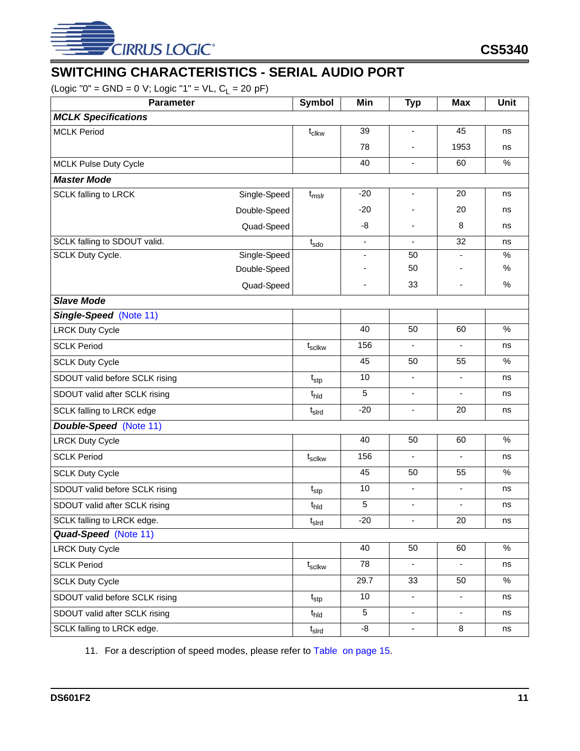

## <span id="page-10-0"></span>**SWITCHING CHARACTERISTICS - SERIAL AUDIO PORT**

 $(Logic "0" = GND = 0 V; Logic "1" = VL, C<sub>L</sub> = 20 pF)$ 

| Parameter                      |              | Symbol            | Min                      | <b>Typ</b>               | <b>Max</b>               | <b>Unit</b>   |
|--------------------------------|--------------|-------------------|--------------------------|--------------------------|--------------------------|---------------|
| <b>MCLK Specifications</b>     |              |                   |                          |                          |                          |               |
| <b>MCLK Period</b>             |              | $t_{\text{clkw}}$ | 39                       | $\overline{\phantom{a}}$ | 45                       | ns            |
|                                |              |                   | 78                       |                          | 1953                     | ns            |
| <b>MCLK Pulse Duty Cycle</b>   |              |                   | 40                       | $\overline{a}$           | 60                       | $\%$          |
| <b>Master Mode</b>             |              |                   |                          |                          |                          |               |
| <b>SCLK falling to LRCK</b>    | Single-Speed | $t_{mslr}$        | $-20$                    | $\blacksquare$           | 20                       | ns            |
|                                | Double-Speed |                   | $-20$                    |                          | 20                       | ns            |
|                                | Quad-Speed   |                   | -8                       | $\overline{\phantom{a}}$ | 8                        | ns            |
| SCLK falling to SDOUT valid.   |              | $t_{\text{sdo}}$  | L,                       |                          | 32                       | ns            |
| SCLK Duty Cycle.               | Single-Speed |                   | $\overline{\phantom{0}}$ | 50                       |                          | $\%$          |
|                                | Double-Speed |                   |                          | 50                       |                          | $\%$          |
|                                | Quad-Speed   |                   | $\overline{\phantom{0}}$ | 33                       |                          | $\%$          |
| <b>Slave Mode</b>              |              |                   |                          |                          |                          |               |
| Single-Speed (Note 11)         |              |                   |                          |                          |                          |               |
| <b>LRCK Duty Cycle</b>         |              |                   | 40                       | 50                       | 60                       | $\%$          |
| <b>SCLK Period</b>             |              | $t_{\rm scIkw}$   | 156                      | $\blacksquare$           | $\frac{1}{2}$            | ns            |
| <b>SCLK Duty Cycle</b>         |              |                   | 45                       | 50                       | 55                       | $\frac{0}{0}$ |
| SDOUT valid before SCLK rising |              | $t_{\text{stp}}$  | 10                       | $\overline{\phantom{a}}$ | $\overline{\phantom{0}}$ | ns            |
| SDOUT valid after SCLK rising  |              | t <sub>hld</sub>  | 5                        | $\overline{\phantom{a}}$ | $\overline{\phantom{a}}$ | ns            |
| SCLK falling to LRCK edge      |              | $t_{\sf s}$       | $-20$                    | ä,                       | 20                       | ns            |
| <b>Double-Speed</b> (Note 11)  |              |                   |                          |                          |                          |               |
| <b>LRCK Duty Cycle</b>         |              |                   | 40                       | 50                       | 60                       | $\%$          |
| <b>SCLK Period</b>             |              | $t_{\rm scIkw}$   | 156                      | $\overline{\phantom{a}}$ | $\overline{\phantom{a}}$ | ns            |
| <b>SCLK Duty Cycle</b>         |              |                   | 45                       | 50                       | 55                       | %             |
| SDOUT valid before SCLK rising |              | $t_{\text{stp}}$  | 10                       | $\overline{\phantom{a}}$ | -                        | ns            |
| SDOUT valid after SCLK rising  |              | t <sub>hld</sub>  | 5                        | ä,                       |                          | ns            |
| SCLK falling to LRCK edge.     |              | $t_{\sf s}$       | $-20$                    |                          | 20                       | ns            |
| Quad-Speed (Note 11)           |              |                   |                          |                          |                          |               |
| <b>LRCK Duty Cycle</b>         |              |                   | 40                       | 50                       | 60                       | $\%$          |
| <b>SCLK Period</b>             |              | $t_{\rm scIkw}$   | 78                       | $\blacksquare$           | $\blacksquare$           | ns            |
| <b>SCLK Duty Cycle</b>         |              |                   | 29.7                     | 33                       | 50                       | $\%$          |
| SDOUT valid before SCLK rising |              | $t_{\rm stp}$     | 10                       | $\blacksquare$           | -                        | ns            |
| SDOUT valid after SCLK rising  |              | $t_{\text{hld}}$  | 5                        | $\overline{\phantom{a}}$ | $\overline{\phantom{a}}$ | ns            |
| SCLK falling to LRCK edge.     |              | $t_{\sf s}$       | $-8$                     | $\blacksquare$           | 8                        | ns            |

<span id="page-10-1"></span>11. For a description of speed modes, please refer to [Table on page 15.](#page-14-5)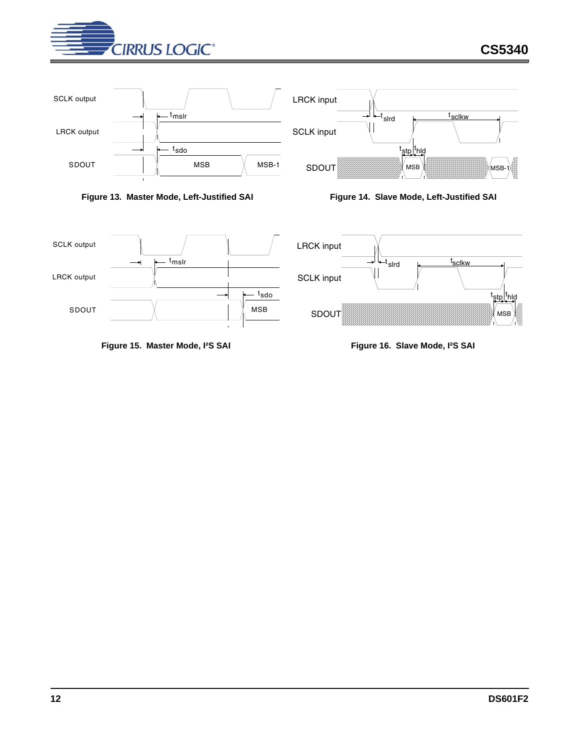



<span id="page-11-0"></span>

<span id="page-11-1"></span>



<span id="page-11-2"></span>



<span id="page-11-3"></span>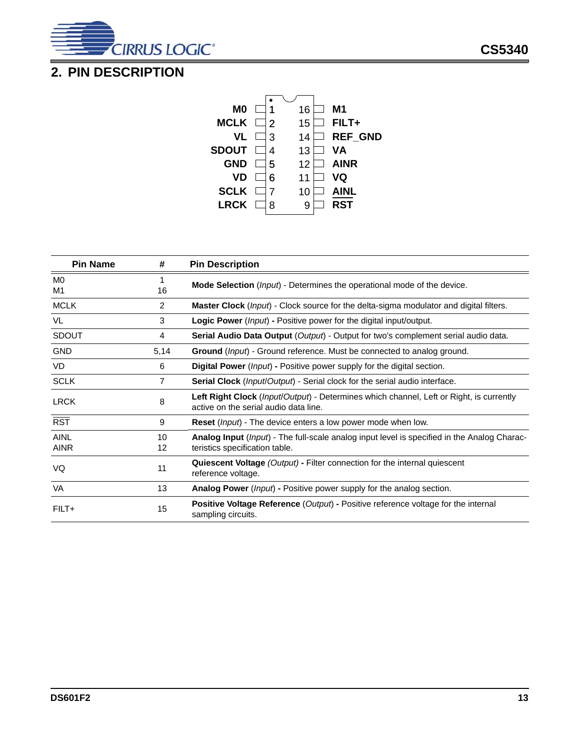

## <span id="page-12-0"></span>**2. PIN DESCRIPTION**



| <b>Pin Name</b>      | #              | <b>Pin Description</b>                                                                                                           |
|----------------------|----------------|----------------------------------------------------------------------------------------------------------------------------------|
| M <sub>0</sub><br>M1 | 16             | Mode Selection ( <i>lnput</i> ) - Determines the operational mode of the device.                                                 |
| <b>MCLK</b>          | $\overline{2}$ | <b>Master Clock</b> ( <i>lnput</i> ) - Clock source for the delta-sigma modulator and digital filters.                           |
| VL                   | 3              | <b>Logic Power</b> ( <i>lnput</i> ) - Positive power for the digital input/output.                                               |
| <b>SDOUT</b>         | 4              | <b>Serial Audio Data Output</b> ( <i>Output</i> ) - Output for two's complement serial audio data.                               |
| <b>GND</b>           | 5,14           | <b>Ground</b> ( <i>lnput</i> ) - Ground reference. Must be connected to analog ground.                                           |
| <b>VD</b>            | 6              | <b>Digital Power</b> ( <i>lnput</i> ) - Positive power supply for the digital section.                                           |
| <b>SCLK</b>          | 7              | <b>Serial Clock</b> ( <i>Input/Output</i> ) - Serial clock for the serial audio interface.                                       |
| <b>LRCK</b>          | 8              | Left Right Clock (Input/Output) - Determines which channel, Left or Right, is currently<br>active on the serial audio data line. |
| <b>RST</b>           | 9              | <b>Reset</b> ( <i>lnput</i> ) - The device enters a low power mode when low.                                                     |
| AINL<br><b>AINR</b>  | 10<br>12       | Analog Input (Input) - The full-scale analog input level is specified in the Analog Charac-<br>teristics specification table.    |
| VQ                   | 11             | Quiescent Voltage (Output) - Filter connection for the internal quiescent<br>reference voltage.                                  |
| VA                   | 13             | <b>Analog Power</b> ( <i>lnput</i> ) - Positive power supply for the analog section.                                             |
| $FILT+$              | 15             | <b>Positive Voltage Reference (Output) - Positive reference voltage for the internal</b><br>sampling circuits.                   |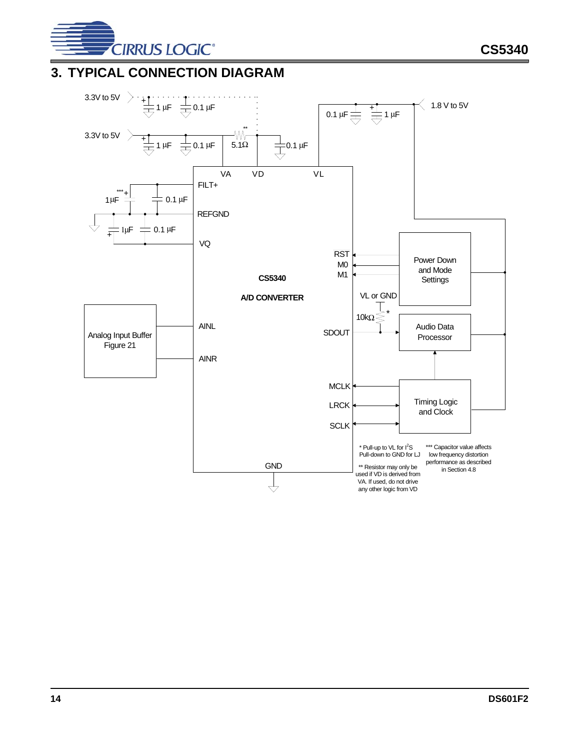

## <span id="page-13-0"></span>**3. TYPICAL CONNECTION DIAGRAM**

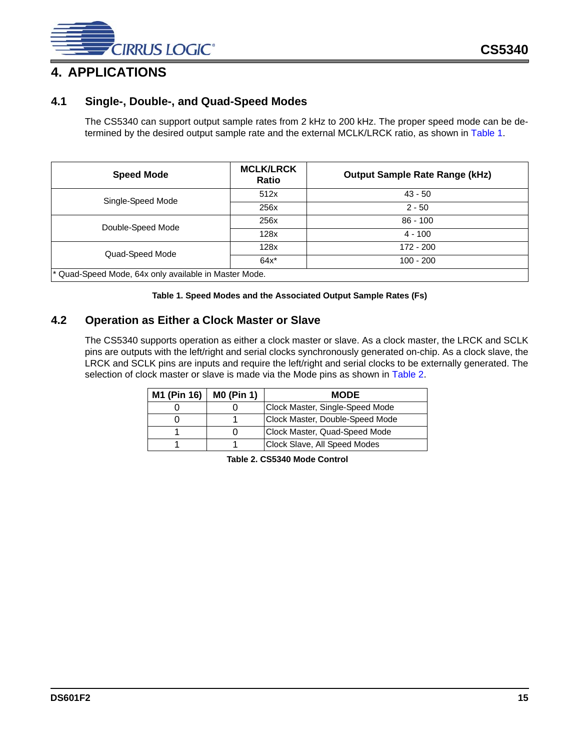

### <span id="page-14-1"></span><span id="page-14-0"></span>**4.1 Single-, Double-, and Quad-Speed Modes**

The CS5340 can support output sample rates from 2 kHz to 200 kHz. The proper speed mode can be de-termined by the desired output sample rate and the external MCLK/LRCK ratio, as shown in [Table 1.](#page-14-3)

<span id="page-14-5"></span>

| <b>Speed Mode</b>                                                | <b>MCLK/LRCK</b><br><b>Ratio</b> | <b>Output Sample Rate Range (kHz)</b> |  |  |  |  |
|------------------------------------------------------------------|----------------------------------|---------------------------------------|--|--|--|--|
| Single-Speed Mode                                                | 512x                             | $43 - 50$                             |  |  |  |  |
|                                                                  | 256x                             | $2 - 50$                              |  |  |  |  |
| Double-Speed Mode                                                | 256x                             | $86 - 100$                            |  |  |  |  |
|                                                                  | 128x                             | $4 - 100$                             |  |  |  |  |
| Quad-Speed Mode                                                  | 128x                             | 172 - 200                             |  |  |  |  |
|                                                                  | $64x^*$                          | $100 - 200$                           |  |  |  |  |
| <sup>*</sup> Quad-Speed Mode, 64x only available in Master Mode. |                                  |                                       |  |  |  |  |

**Table 1. Speed Modes and the Associated Output Sample Rates (Fs)**

### <span id="page-14-3"></span><span id="page-14-2"></span>**4.2 Operation as Either a Clock Master or Slave**

The CS5340 supports operation as either a clock master or slave. As a clock master, the LRCK and SCLK pins are outputs with the left/right and serial clocks synchronously generated on-chip. As a clock slave, the LRCK and SCLK pins are inputs and require the left/right and serial clocks to be externally generated. The selection of clock master or slave is made via the Mode pins as shown in [Table 2](#page-14-4).

<span id="page-14-4"></span>

| M1 (Pin 16) | <b>M0 (Pin 1)</b> | <b>MODE</b>                     |
|-------------|-------------------|---------------------------------|
|             |                   | Clock Master, Single-Speed Mode |
|             |                   | Clock Master, Double-Speed Mode |
|             |                   | Clock Master, Quad-Speed Mode   |
|             |                   | Clock Slave, All Speed Modes    |

**Table 2. CS5340 Mode Control**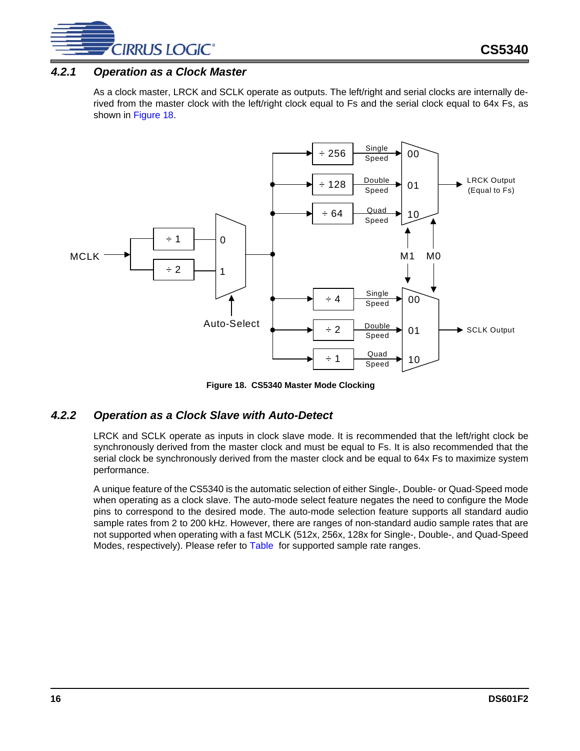

### <span id="page-15-0"></span>*4.2.1 Operation as a Clock Master*

As a clock master, LRCK and SCLK operate as outputs. The left/right and serial clocks are internally derived from the master clock with the left/right clock equal to Fs and the serial clock equal to 64x Fs, as shown in [Figure 18](#page-15-2).



**Figure 18. CS5340 Master Mode Clocking**

### <span id="page-15-2"></span><span id="page-15-1"></span>*4.2.2 Operation as a Clock Slave with Auto-Detect*

LRCK and SCLK operate as inputs in clock slave mode. It is recommended that the left/right clock be synchronously derived from the master clock and must be equal to Fs. It is also recommended that the serial clock be synchronously derived from the master clock and be equal to 64x Fs to maximize system performance.

A unique feature of the CS5340 is the automatic selection of either Single-, Double- or Quad-Speed mode when operating as a clock slave. The auto-mode select feature negates the need to configure the Mode pins to correspond to the desired mode. The auto-mode selection feature supports all standard audio sample rates from 2 to 200 kHz. However, there are ranges of non-standard audio sample rates that are not supported when operating with a fast MCLK (512x, 256x, 128x for Single-, Double-, and Quad-Speed Modes, respectively). Please refer to [Table](#page-14-5) for supported sample rate ranges.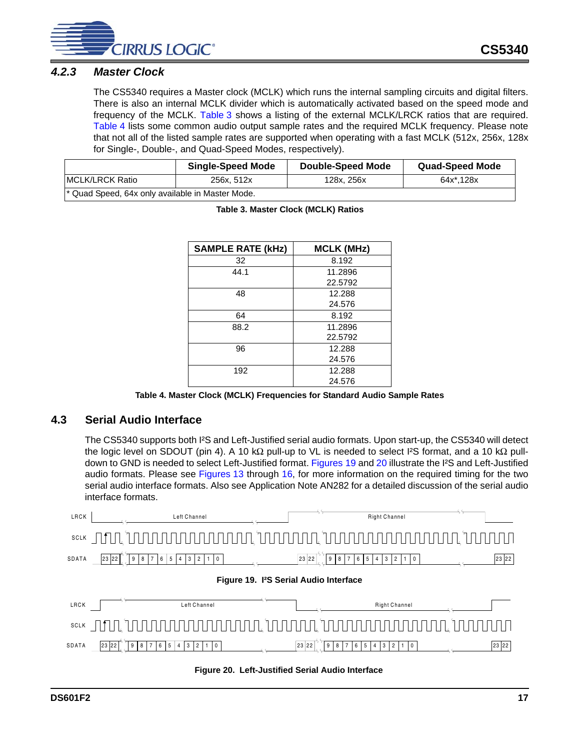

### <span id="page-16-0"></span>*4.2.3 Master Clock*

The CS5340 requires a Master clock (MCLK) which runs the internal sampling circuits and digital filters. There is also an internal MCLK divider which is automatically activated based on the speed mode and frequency of the MCLK. [Table 3](#page-16-4) shows a listing of the external MCLK/LRCK ratios that are required. [Table 4](#page-16-5) lists some common audio output sample rates and the required MCLK frequency. Please note that not all of the listed sample rates are supported when operating with a fast MCLK (512x, 256x, 128x for Single-, Double-, and Quad-Speed Modes, respectively).

<span id="page-16-4"></span>

|                                                             | <b>Single-Speed Mode</b> | <b>Double-Speed Mode</b> | <b>Quad-Speed Mode</b> |  |  |  |  |  |
|-------------------------------------------------------------|--------------------------|--------------------------|------------------------|--|--|--|--|--|
| IMCLK/LRCK Ratio                                            | 256x. 512x               | 128x, 256x               | 64x*.128x              |  |  |  |  |  |
| <sup>*</sup> Quad Speed, 64x only available in Master Mode. |                          |                          |                        |  |  |  |  |  |

| <b>SAMPLE RATE (kHz)</b> | <b>MCLK (MHz)</b> |
|--------------------------|-------------------|
| 32                       | 8.192             |
| 44.1                     | 11.2896           |
|                          | 22.5792           |
| 48                       | 12.288            |
|                          | 24.576            |
| 64                       | 8.192             |
| 88.2                     | 11.2896           |
|                          | 22.5792           |
| 96                       | 12.288            |
|                          | 24.576            |
| 192                      | 12.288            |
|                          | 24.576            |

**Table 3. Master Clock (MCLK) Ratios**

|  |  |  | Table 4. Master Clock (MCLK) Frequencies for Standard Audio Sample Rates |  |  |
|--|--|--|--------------------------------------------------------------------------|--|--|
|  |  |  |                                                                          |  |  |

#### <span id="page-16-5"></span><span id="page-16-1"></span>**4.3 Serial Audio Interface**

The CS5340 supports both I²S and Left-Justified serial audio formats. Upon start-up, the CS5340 will detect the logic level on SDOUT (pin 4). A 10 kΩ pull-up to VL is needed to select I²S format, and a 10 kΩ pull-down to GND is needed to select Left-Justified format. [Figures 19](#page-16-2) and [20](#page-16-3) illustrate the I<sup>2</sup>S and Left-Justified audio formats. Please see [Figures 13](#page-11-0) through [16,](#page-11-3) for more information on the required timing for the two serial audio interface formats. Also see Application Note AN282 for a detailed discussion of the serial audio interface formats.

<span id="page-16-3"></span><span id="page-16-2"></span>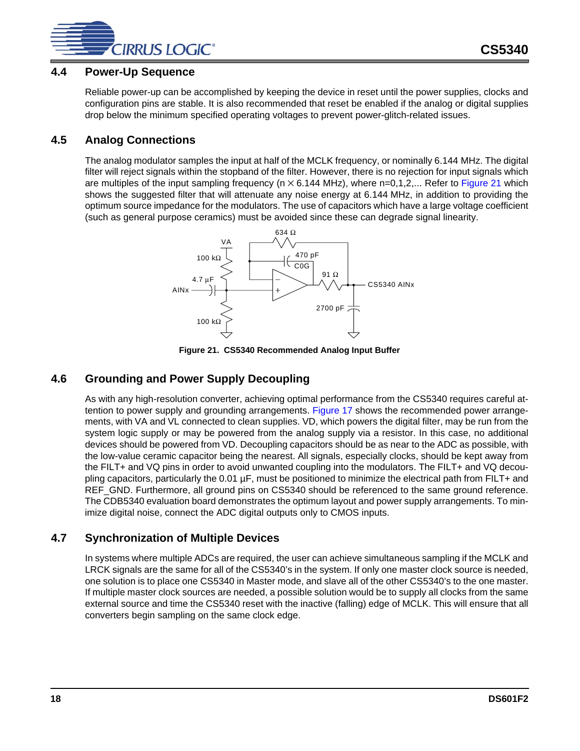

#### <span id="page-17-0"></span>**4.4 Power-Up Sequence**

Reliable power-up can be accomplished by keeping the device in reset until the power supplies, clocks and configuration pins are stable. It is also recommended that reset be enabled if the analog or digital supplies drop below the minimum specified operating voltages to prevent power-glitch-related issues.

### <span id="page-17-1"></span>**4.5 Analog Connections**

The analog modulator samples the input at half of the MCLK frequency, or nominally 6.144 MHz. The digital filter will reject signals within the stopband of the filter. However, there is no rejection for input signals which are multiples of the input sampling frequency ( $n \times 6.144$  MHz), where  $n=0,1,2,...$  Refer to [Figure 21](#page-17-4) which shows the suggested filter that will attenuate any noise energy at 6.144 MHz, in addition to providing the optimum source impedance for the modulators. The use of capacitors which have a large voltage coefficient (such as general purpose ceramics) must be avoided since these can degrade signal linearity.



**Figure 21. CS5340 Recommended Analog Input Buffer**

### <span id="page-17-4"></span><span id="page-17-2"></span>**4.6 Grounding and Power Supply Decoupling**

As with any high-resolution converter, achieving optimal performance from the CS5340 requires careful attention to power supply and grounding arrangements. Figure 17 shows the recommended power arrangements, with VA and VL connected to clean supplies. VD, which powers the digital filter, may be run from the system logic supply or may be powered from the analog supply via a resistor. In this case, no additional devices should be powered from VD. Decoupling capacitors should be as near to the ADC as possible, with the low-value ceramic capacitor being the nearest. All signals, especially clocks, should be kept away from the FILT+ and VQ pins in order to avoid unwanted coupling into the modulators. The FILT+ and VQ decoupling capacitors, particularly the 0.01 µF, must be positioned to minimize the electrical path from FILT+ and REF\_GND. Furthermore, all ground pins on CS5340 should be referenced to the same ground reference. The CDB5340 evaluation board demonstrates the optimum layout and power supply arrangements. To minimize digital noise, connect the ADC digital outputs only to CMOS inputs.

### <span id="page-17-3"></span>**4.7 Synchronization of Multiple Devices**

In systems where multiple ADCs are required, the user can achieve simultaneous sampling if the MCLK and LRCK signals are the same for all of the CS5340's in the system. If only one master clock source is needed, one solution is to place one CS5340 in Master mode, and slave all of the other CS5340's to the one master. If multiple master clock sources are needed, a possible solution would be to supply all clocks from the same external source and time the CS5340 reset with the inactive (falling) edge of MCLK. This will ensure that all converters begin sampling on the same clock edge.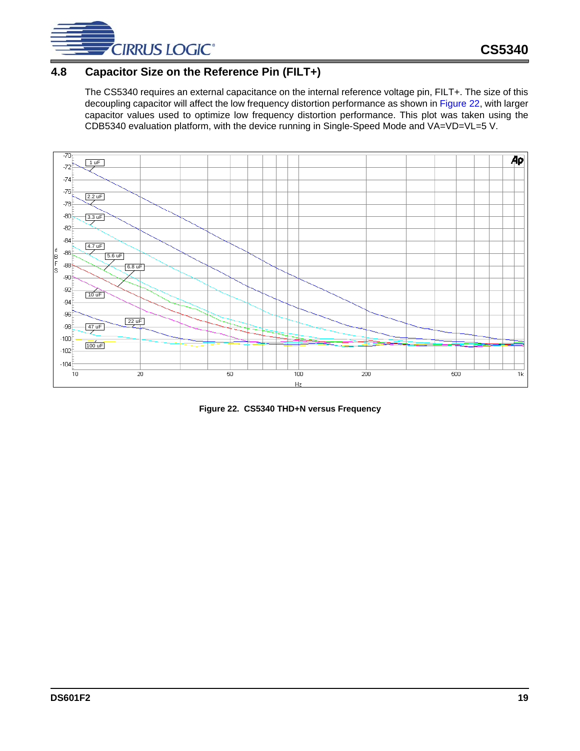

### <span id="page-18-0"></span>**4.8 Capacitor Size on the Reference Pin (FILT+)**

The CS5340 requires an external capacitance on the internal reference voltage pin, FILT+. The size of this decoupling capacitor will affect the low frequency distortion performance as shown in [Figure 22,](#page-18-1) with larger capacitor values used to optimize low frequency distortion performance. This plot was taken using the CDB5340 evaluation platform, with the device running in Single-Speed Mode and VA=VD=VL=5 V.



<span id="page-18-1"></span>**Figure 22. CS5340 THD+N versus Frequency**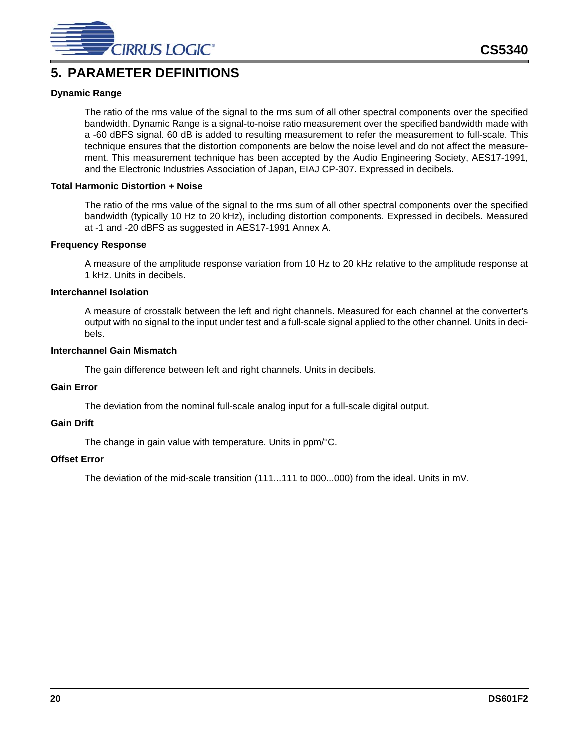

### <span id="page-19-0"></span>**5. PARAMETER DEFINITIONS**

#### **Dynamic Range**

The ratio of the rms value of the signal to the rms sum of all other spectral components over the specified bandwidth. Dynamic Range is a signal-to-noise ratio measurement over the specified bandwidth made with a -60 dBFS signal. 60 dB is added to resulting measurement to refer the measurement to full-scale. This technique ensures that the distortion components are below the noise level and do not affect the measurement. This measurement technique has been accepted by the Audio Engineering Society, AES17-1991, and the Electronic Industries Association of Japan, EIAJ CP-307. Expressed in decibels.

#### **Total Harmonic Distortion + Noise**

The ratio of the rms value of the signal to the rms sum of all other spectral components over the specified bandwidth (typically 10 Hz to 20 kHz), including distortion components. Expressed in decibels. Measured at -1 and -20 dBFS as suggested in AES17-1991 Annex A.

#### **Frequency Response**

A measure of the amplitude response variation from 10 Hz to 20 kHz relative to the amplitude response at 1 kHz. Units in decibels.

#### **Interchannel Isolation**

A measure of crosstalk between the left and right channels. Measured for each channel at the converter's output with no signal to the input under test and a full-scale signal applied to the other channel. Units in decibels.

#### **Interchannel Gain Mismatch**

The gain difference between left and right channels. Units in decibels.

#### **Gain Error**

The deviation from the nominal full-scale analog input for a full-scale digital output.

#### **Gain Drift**

The change in gain value with temperature. Units in ppm/°C.

#### **Offset Error**

The deviation of the mid-scale transition (111...111 to 000...000) from the ideal. Units in mV.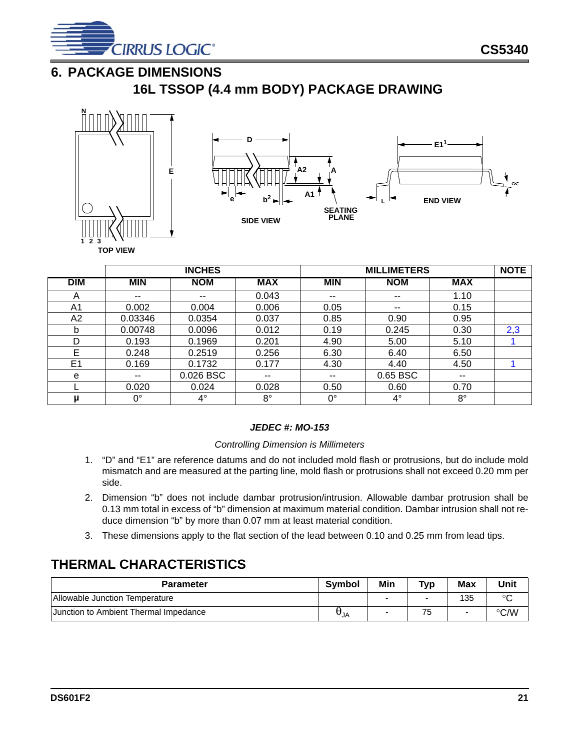

## <span id="page-20-0"></span>**6. PACKAGE DIMENSIONS**

**16L TSSOP (4.4 mm BODY) PACKAGE DRAWING**





|                |             | <b>INCHES</b> |             |                          | <b>MILLIMETERS</b>       |             |     |  |
|----------------|-------------|---------------|-------------|--------------------------|--------------------------|-------------|-----|--|
| <b>DIM</b>     | <b>MIN</b>  | <b>NOM</b>    | <b>MAX</b>  | <b>MIN</b>               | <b>NOM</b>               | <b>MAX</b>  |     |  |
| Α              | --          | $- -$         | 0.043       | $- -$                    | --                       | 1.10        |     |  |
| A1             | 0.002       | 0.004         | 0.006       | 0.05                     | $\overline{\phantom{a}}$ | 0.15        |     |  |
| A <sub>2</sub> | 0.03346     | 0.0354        | 0.037       | 0.85                     | 0.90                     | 0.95        |     |  |
| b              | 0.00748     | 0.0096        | 0.012       | 0.19                     | 0.245                    | 0.30        | 2,3 |  |
| D              | 0.193       | 0.1969        | 0.201       | 4.90                     | 5.00                     | 5.10        |     |  |
| E              | 0.248       | 0.2519        | 0.256       | 6.30                     | 6.40                     | 6.50        |     |  |
| E <sub>1</sub> | 0.169       | 0.1732        | 0.177       | 4.30                     | 4.40                     | 4.50        |     |  |
| е              | --          | 0.026 BSC     | $- -$       | $\overline{\phantom{a}}$ | 0.65 BSC                 | $- -$       |     |  |
|                | 0.020       | 0.024         | 0.028       | 0.50                     | 0.60                     | 0.70        |     |  |
| μ              | $0^{\circ}$ | $4^{\circ}$   | $8^{\circ}$ | $0^{\circ}$              | $4^{\circ}$              | $8^{\circ}$ |     |  |

#### *JEDEC #: MO-153*

#### *Controlling Dimension is Millimeters*

- <span id="page-20-4"></span>1. "D" and "E1" are reference datums and do not included mold flash or protrusions, but do include mold mismatch and are measured at the parting line, mold flash or protrusions shall not exceed 0.20 mm per side.
- <span id="page-20-2"></span>2. Dimension "b" does not include dambar protrusion/intrusion. Allowable dambar protrusion shall be 0.13 mm total in excess of "b" dimension at maximum material condition. Dambar intrusion shall not reduce dimension "b" by more than 0.07 mm at least material condition.
- 3. These dimensions apply to the flat section of the lead between 0.10 and 0.25 mm from lead tips.

### <span id="page-20-3"></span><span id="page-20-1"></span>**THERMAL CHARACTERISTICS**

| <b>Parameter</b>                             | <b>Symbol</b> | Min                      | Typ | Max | <b>Unit</b> |
|----------------------------------------------|---------------|--------------------------|-----|-----|-------------|
| Allowable Junction Temperature               |               | $\overline{\phantom{0}}$ |     | 135 | $\sim$      |
| <b>Junction to Ambient Thermal Impedance</b> |               | -                        | 75  |     | °C/W        |